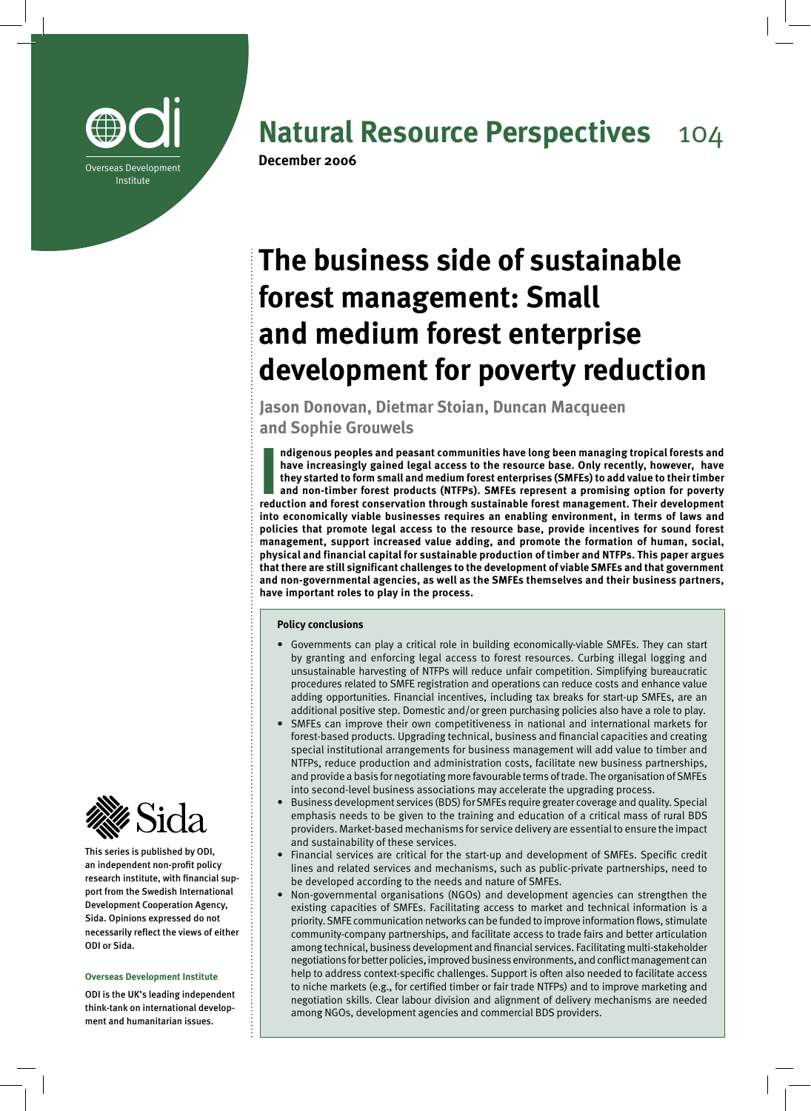

## **Natural Resource Perspectives** 104

# **The business side of sustainable forest management: Small and medium forest enterprise development for poverty reduction**

**Jason Donovan, Dietmar Stoian, Duncan Macqueen and Sophie Grouwels** 

Indigenous peoples and peasant communities have long been managing tropical forests and<br>have increasingly gained legal access to the resource base. Only recently, however, have<br>they started to form small and medium forest **ndigenous peoples and peasant communities have long been managing tropical forests and have increasingly gained legal access to the resource base. Only recently, however, have they started to form small and medium forest enterprises (SMFEs) to add value to their timber and non-timber forest products (NTFPs). SMFEs represent a promising option for poverty into economically viable businesses requires an enabling environment, in terms of laws and policies that promote legal access to the resource base, provide incentives for sound forest management, support increased value adding, and promote the formation of human, social, physical and financial capital for sustainable production of timber and NTFPs. This paper argues that there are still significant challenges to the development of viable SMFEs and that government and non-governmental agencies, as well as the SMFEs themselves and their business partners, have important roles to play in the process.** 

#### **Policy conclusions**

- Governments can play a critical role in building economically-viable SMFEs. They can start by granting and enforcing legal access to forest resources. Curbing illegal logging and unsustainable harvesting of NTFPs will reduce unfair competition. Simplifying bureaucratic procedures related to SMFE registration and operations can reduce costs and enhance value adding opportunities. Financial incentives, including tax breaks for start-up SMFEs, are an additional positive step. Domestic and/or green purchasing policies also have a role to play.
- SMFEs can improve their own competitiveness in national and international markets for forest-based products. Upgrading technical, business and financial capacities and creating special institutional arrangements for business management will add value to timber and NTFPs, reduce production and administration costs, facilitate new business partnerships, and provide a basis for negotiating more favourable terms of trade. The organisation of SMFEs into second-level business associations may accelerate the upgrading process.
- Business development services (BDS) for SMFEs require greater coverage and quality. Special emphasis needs to be given to the training and education of a critical mass of rural BDS providers. Market-based mechanisms for service delivery are essential to ensure the impact and sustainability of these services.
- Financial services are critical for the start-up and development of SMFEs. Specific credit lines and related services and mechanisms, such as public-private partnerships, need to be developed according to the needs and nature of SMFEs.
- Non-governmental organisations (NGOs) and development agencies can strengthen the existing capacities of SMFEs. Facilitating access to market and technical information is a priority. SMFE communication networks can be funded to improve information flows, stimulate community-company partnerships, and facilitate access to trade fairs and better articulation among technical, business development and financial services. Facilitating multi-stakeholder negotiations for better policies, improved business environments, and conflict management can help to address context-specific challenges. Support is often also needed to facilitate access to niche markets (e.g., for certified timber or fair trade NTFPs) and to improve marketing and negotiation skills. Clear labour division and alignment of delivery mechanisms are needed among NGOs, development agencies and commercial BDS providers.



This series is published by ODI, an independent non-profit policy research institute, with financial support from the Swedish International Development Cooperation Agency, Sida. Opinions expressed do not necessarily reflect the views of either ODI or Sida.

#### **Overseas Development Institute**

ODI is the UK's leading independent think-tank on international development and humanitarian issues.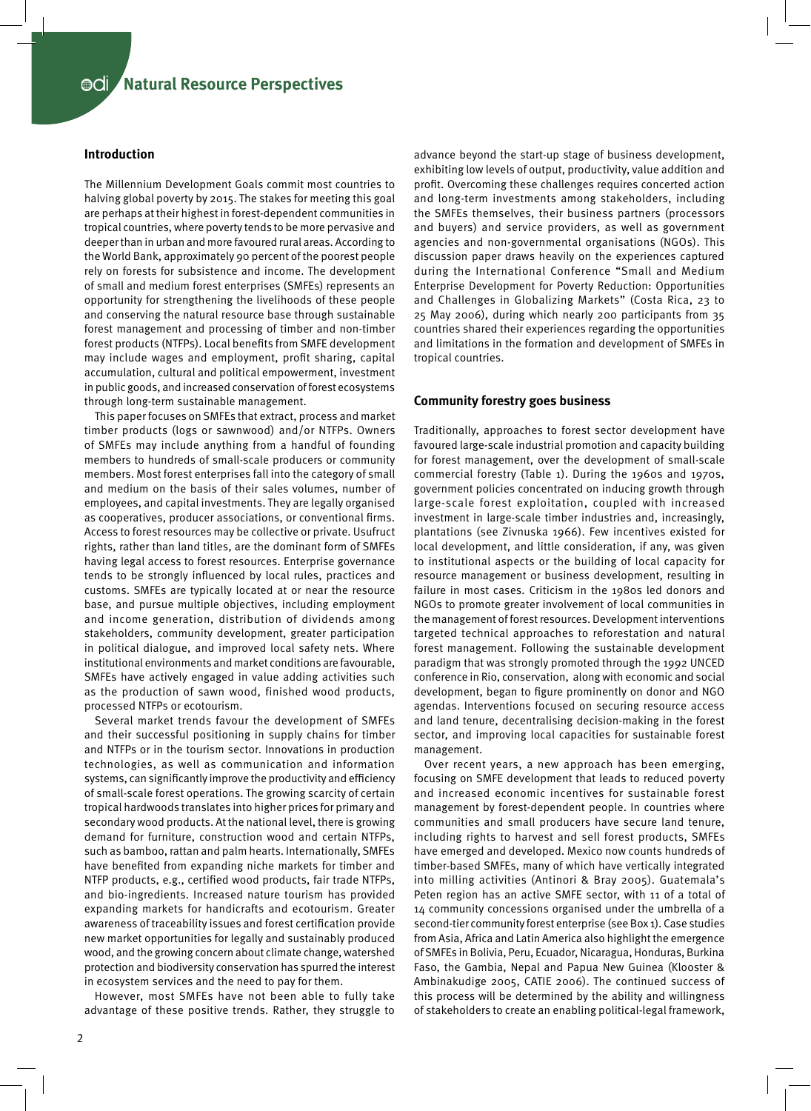#### **Introduction**

The Millennium Development Goals commit most countries to halving global poverty by 2015. The stakes for meeting this goal are perhaps at their highest in forest-dependent communities in tropical countries, where poverty tends to be more pervasive and deeper than in urban and more favoured rural areas. According to the World Bank, approximately 90 percent of the poorest people rely on forests for subsistence and income. The development of small and medium forest enterprises (SMFEs) represents an opportunity for strengthening the livelihoods of these people and conserving the natural resource base through sustainable forest management and processing of timber and non-timber forest products (NTFPs). Local benefits from SMFE development may include wages and employment, profit sharing, capital accumulation, cultural and political empowerment, investment in public goods, and increased conservation of forest ecosystems through long-term sustainable management.

This paper focuses on SMFEs that extract, process and market timber products (logs or sawnwood) and/or NTFPs. Owners of SMFEs may include anything from a handful of founding members to hundreds of small-scale producers or community members. Most forest enterprises fall into the category of small and medium on the basis of their sales volumes, number of employees, and capital investments. They are legally organised as cooperatives, producer associations, or conventional firms. Access to forest resources may be collective or private. Usufruct rights, rather than land titles, are the dominant form of SMFEs having legal access to forest resources. Enterprise governance tends to be strongly influenced by local rules, practices and customs. SMFEs are typically located at or near the resource base, and pursue multiple objectives, including employment and income generation, distribution of dividends among stakeholders, community development, greater participation in political dialogue, and improved local safety nets. Where institutional environments and market conditions are favourable, SMFEs have actively engaged in value adding activities such as the production of sawn wood, finished wood products, processed NTFPs or ecotourism.

Several market trends favour the development of SMFEs and their successful positioning in supply chains for timber and NTFPs or in the tourism sector. Innovations in production technologies, as well as communication and information systems, can significantly improve the productivity and efficiency of small-scale forest operations. The growing scarcity of certain tropical hardwoods translates into higher prices for primary and secondary wood products. At the national level, there is growing demand for furniture, construction wood and certain NTFPs, such as bamboo, rattan and palm hearts. Internationally, SMFEs have benefited from expanding niche markets for timber and NTFP products, e.g., certified wood products, fair trade NTFPs, and bio-ingredients. Increased nature tourism has provided expanding markets for handicrafts and ecotourism. Greater awareness of traceability issues and forest certification provide new market opportunities for legally and sustainably produced wood, and the growing concern about climate change, watershed protection and biodiversity conservation has spurred the interest in ecosystem services and the need to pay for them.

However, most SMFEs have not been able to fully take advantage of these positive trends. Rather, they struggle to

advance beyond the start-up stage of business development, exhibiting low levels of output, productivity, value addition and profit. Overcoming these challenges requires concerted action and long-term investments among stakeholders, including the SMFEs themselves, their business partners (processors and buyers) and service providers, as well as government agencies and non-governmental organisations (NGOs). This discussion paper draws heavily on the experiences captured during the International Conference "Small and Medium Enterprise Development for Poverty Reduction: Opportunities and Challenges in Globalizing Markets" (Costa Rica, 23 to 25 May 2006), during which nearly 200 participants from 35 countries shared their experiences regarding the opportunities and limitations in the formation and development of SMFEs in tropical countries.

#### **Community forestry goes business**

Traditionally, approaches to forest sector development have favoured large-scale industrial promotion and capacity building for forest management, over the development of small-scale commercial forestry (Table 1). During the 1960s and 1970s, government policies concentrated on inducing growth through large-scale forest exploitation, coupled with increased investment in large-scale timber industries and, increasingly, plantations (see Zivnuska 1966). Few incentives existed for local development, and little consideration, if any, was given to institutional aspects or the building of local capacity for resource management or business development, resulting in failure in most cases. Criticism in the 1980s led donors and NGOs to promote greater involvement of local communities in the management of forest resources. Development interventions targeted technical approaches to reforestation and natural forest management. Following the sustainable development paradigm that was strongly promoted through the 1992 UNCED conference in Rio, conservation, along with economic and social development, began to figure prominently on donor and NGO agendas. Interventions focused on securing resource access and land tenure, decentralising decision-making in the forest sector, and improving local capacities for sustainable forest management.

Over recent years, a new approach has been emerging, focusing on SMFE development that leads to reduced poverty and increased economic incentives for sustainable forest management by forest-dependent people. In countries where communities and small producers have secure land tenure, including rights to harvest and sell forest products, SMFEs have emerged and developed. Mexico now counts hundreds of timber-based SMFEs, many of which have vertically integrated into milling activities (Antinori & Bray 2005). Guatemala's Peten region has an active SMFE sector, with 11 of a total of 14 community concessions organised under the umbrella of a second-tier community forest enterprise (see Box 1). Case studies from Asia, Africa and Latin America also highlight the emergence of SMFEs in Bolivia, Peru, Ecuador, Nicaragua, Honduras, Burkina Faso, the Gambia, Nepal and Papua New Guinea (Klooster & Ambinakudige 2005, CATIE 2006). The continued success of this process will be determined by the ability and willingness of stakeholders to create an enabling political-legal framework,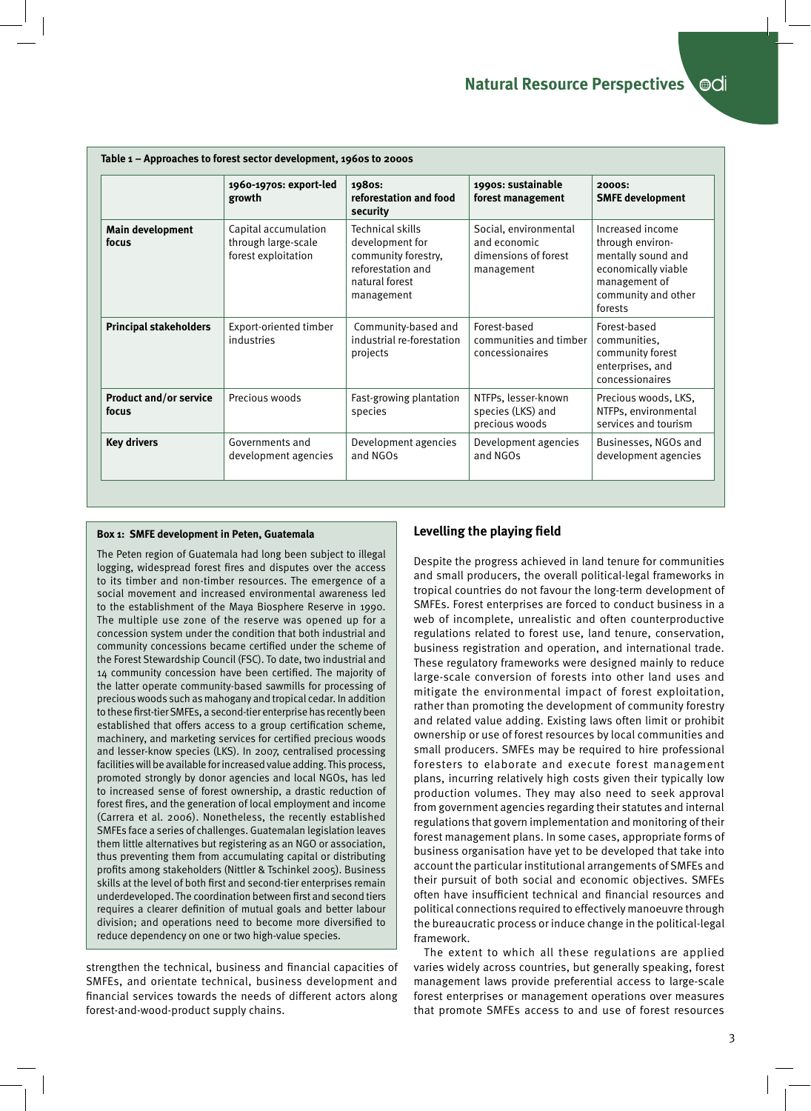|                                        | 1960-1970s: export-led<br>growth                                   | 1980S:<br>reforestation and food<br>security                                                                    | 1990s: sustainable<br>forest management                                     | 2000S:<br><b>SMFE development</b>                                                                                                    |
|----------------------------------------|--------------------------------------------------------------------|-----------------------------------------------------------------------------------------------------------------|-----------------------------------------------------------------------------|--------------------------------------------------------------------------------------------------------------------------------------|
| Main development<br>focus              | Capital accumulation<br>through large-scale<br>forest exploitation | Technical skills<br>development for<br>community forestry,<br>reforestation and<br>natural forest<br>management | Social, environmental<br>and economic<br>dimensions of forest<br>management | Increased income<br>through environ-<br>mentally sound and<br>economically viable<br>management of<br>community and other<br>forests |
| <b>Principal stakeholders</b>          | Export-oriented timber<br>industries                               | Community-based and<br>industrial re-forestation<br>projects                                                    | Forest-based<br>communities and timber<br>concessionaires                   | Forest-based<br>communities,<br>community forest<br>enterprises, and<br>concessionaires                                              |
| <b>Product and/or service</b><br>focus | Precious woods                                                     | Fast-growing plantation<br>species                                                                              | NTFPs, lesser-known<br>species (LKS) and<br>precious woods                  | Precious woods, LKS,<br>NTFPs, environmental<br>services and tourism                                                                 |
| <b>Key drivers</b>                     | Governments and<br>development agencies                            | Development agencies<br>and NGOs                                                                                | Development agencies<br>and NGOs                                            | Businesses, NGOs and<br>development agencies                                                                                         |

### **Box 1: SMFE development in Peten, Guatemala**

The Peten region of Guatemala had long been subject to illegal logging, widespread forest fires and disputes over the access to its timber and non-timber resources. The emergence of a social movement and increased environmental awareness led to the establishment of the Maya Biosphere Reserve in 1990. The multiple use zone of the reserve was opened up for a concession system under the condition that both industrial and community concessions became certified under the scheme of the Forest Stewardship Council (FSC). To date, two industrial and 14 community concession have been certified. The majority of the latter operate community-based sawmills for processing of precious woods such as mahogany and tropical cedar. In addition to these first-tier SMFEs, a second-tier enterprise has recently been established that offers access to a group certification scheme, machinery, and marketing services for certified precious woods and lesser-know species (LKS). In 2007, centralised processing facilities will be available for increased value adding. This process, promoted strongly by donor agencies and local NGOs, has led to increased sense of forest ownership, a drastic reduction of forest fires, and the generation of local employment and income (Carrera et al. 2006). Nonetheless, the recently established SMFEs face a series of challenges. Guatemalan legislation leaves them little alternatives but registering as an NGO or association, thus preventing them from accumulating capital or distributing profits among stakeholders (Nittler & Tschinkel 2005). Business skills at the level of both first and second-tier enterprises remain underdeveloped. The coordination between first and second tiers requires a clearer definition of mutual goals and better labour division; and operations need to become more diversified to reduce dependency on one or two high-value species.

strengthen the technical, business and financial capacities of SMFEs, and orientate technical, business development and financial services towards the needs of different actors along forest-and-wood-product supply chains.

#### **Levelling the playing field**

Despite the progress achieved in land tenure for communities and small producers, the overall political-legal frameworks in tropical countries do not favour the long-term development of SMFEs. Forest enterprises are forced to conduct business in a web of incomplete, unrealistic and often counterproductive regulations related to forest use, land tenure, conservation, business registration and operation, and international trade. These regulatory frameworks were designed mainly to reduce large-scale conversion of forests into other land uses and mitigate the environmental impact of forest exploitation, rather than promoting the development of community forestry and related value adding. Existing laws often limit or prohibit ownership or use of forest resources by local communities and small producers. SMFEs may be required to hire professional foresters to elaborate and execute forest management plans, incurring relatively high costs given their typically low production volumes. They may also need to seek approval from government agencies regarding their statutes and internal regulations that govern implementation and monitoring of their forest management plans. In some cases, appropriate forms of business organisation have yet to be developed that take into account the particular institutional arrangements of SMFEs and their pursuit of both social and economic objectives. SMFEs often have insufficient technical and financial resources and political connections required to effectively manoeuvre through the bureaucratic process or induce change in the political-legal framework.

The extent to which all these regulations are applied varies widely across countries, but generally speaking, forest management laws provide preferential access to large-scale forest enterprises or management operations over measures that promote SMFEs access to and use of forest resources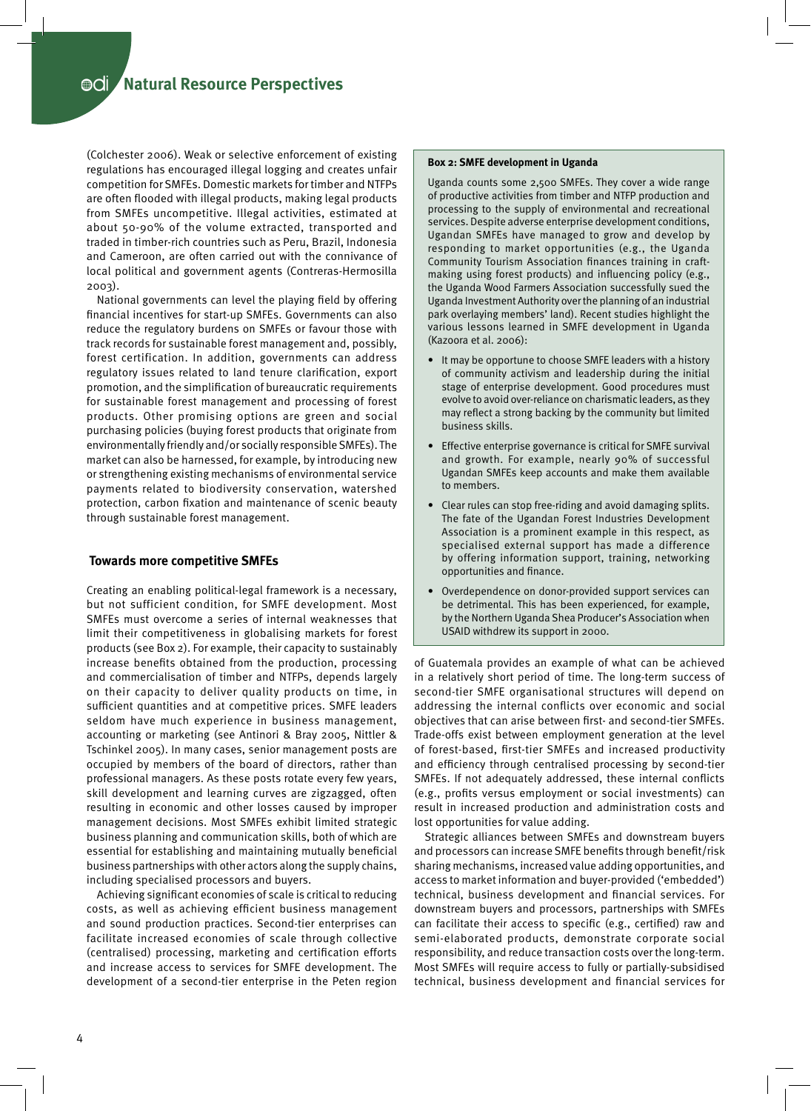(Colchester 2006). Weak or selective enforcement of existing regulations has encouraged illegal logging and creates unfair competition for SMFEs. Domestic markets for timber and NTFPs are often flooded with illegal products, making legal products from SMFEs uncompetitive. Illegal activities, estimated at about 50-90% of the volume extracted, transported and traded in timber-rich countries such as Peru, Brazil, Indonesia and Cameroon, are often carried out with the connivance of local political and government agents (Contreras-Hermosilla 2003).

National governments can level the playing field by offering financial incentives for start-up SMFEs. Governments can also reduce the regulatory burdens on SMFEs or favour those with track records for sustainable forest management and, possibly, forest certification. In addition, governments can address regulatory issues related to land tenure clarification, export promotion, and the simplification of bureaucratic requirements for sustainable forest management and processing of forest products. Other promising options are green and social purchasing policies (buying forest products that originate from environmentally friendly and/or socially responsible SMFEs). The market can also be harnessed, for example, by introducing new or strengthening existing mechanisms of environmental service payments related to biodiversity conservation, watershed protection, carbon fixation and maintenance of scenic beauty through sustainable forest management.

#### **Towards more competitive SMFEs**

Creating an enabling political-legal framework is a necessary, but not sufficient condition, for SMFE development. Most SMFEs must overcome a series of internal weaknesses that limit their competitiveness in globalising markets for forest products (see Box 2). For example, their capacity to sustainably increase benefits obtained from the production, processing and commercialisation of timber and NTFPs, depends largely on their capacity to deliver quality products on time, in sufficient quantities and at competitive prices. SMFE leaders seldom have much experience in business management, accounting or marketing (see Antinori & Bray 2005, Nittler & Tschinkel 2005). In many cases, senior management posts are occupied by members of the board of directors, rather than professional managers. As these posts rotate every few years, skill development and learning curves are zigzagged, often resulting in economic and other losses caused by improper management decisions. Most SMFEs exhibit limited strategic business planning and communication skills, both of which are essential for establishing and maintaining mutually beneficial business partnerships with other actors along the supply chains, including specialised processors and buyers.

Achieving significant economies of scale is critical to reducing costs, as well as achieving efficient business management and sound production practices. Second-tier enterprises can facilitate increased economies of scale through collective (centralised) processing, marketing and certification efforts and increase access to services for SMFE development. The development of a second-tier enterprise in the Peten region

#### **Box 2: SMFE development in Uganda**

Uganda counts some 2,500 SMFEs. They cover a wide range of productive activities from timber and NTFP production and processing to the supply of environmental and recreational services. Despite adverse enterprise development conditions, Ugandan SMFEs have managed to grow and develop by responding to market opportunities (e.g., the Uganda Community Tourism Association finances training in craftmaking using forest products) and influencing policy (e.g., the Uganda Wood Farmers Association successfully sued the Uganda Investment Authority over the planning of an industrial park overlaying members' land). Recent studies highlight the various lessons learned in SMFE development in Uganda (Kazoora et al. 2006):

- It may be opportune to choose SMFE leaders with a history of community activism and leadership during the initial stage of enterprise development. Good procedures must evolve to avoid over-reliance on charismatic leaders, as they may reflect a strong backing by the community but limited business skills.
- Effective enterprise governance is critical for SMFE survival and growth. For example, nearly 90% of successful Ugandan SMFEs keep accounts and make them available to members.
- Clear rules can stop free-riding and avoid damaging splits. The fate of the Ugandan Forest Industries Development Association is a prominent example in this respect, as specialised external support has made a difference by offering information support, training, networking opportunities and finance.
- Overdependence on donor-provided support services can be detrimental. This has been experienced, for example, by the Northern Uganda Shea Producer's Association when USAID withdrew its support in 2000.

of Guatemala provides an example of what can be achieved in a relatively short period of time. The long-term success of second-tier SMFE organisational structures will depend on addressing the internal conflicts over economic and social objectives that can arise between first- and second-tier SMFEs. Trade-offs exist between employment generation at the level of forest-based, first-tier SMFEs and increased productivity and efficiency through centralised processing by second-tier SMFEs. If not adequately addressed, these internal conflicts (e.g., profits versus employment or social investments) can result in increased production and administration costs and lost opportunities for value adding.

Strategic alliances between SMFEs and downstream buyers and processors can increase SMFE benefits through benefit/risk sharing mechanisms, increased value adding opportunities, and access to market information and buyer-provided ('embedded') technical, business development and financial services. For downstream buyers and processors, partnerships with SMFEs can facilitate their access to specific (e.g., certified) raw and semi-elaborated products, demonstrate corporate social responsibility, and reduce transaction costs over the long-term. Most SMFEs will require access to fully or partially-subsidised technical, business development and financial services for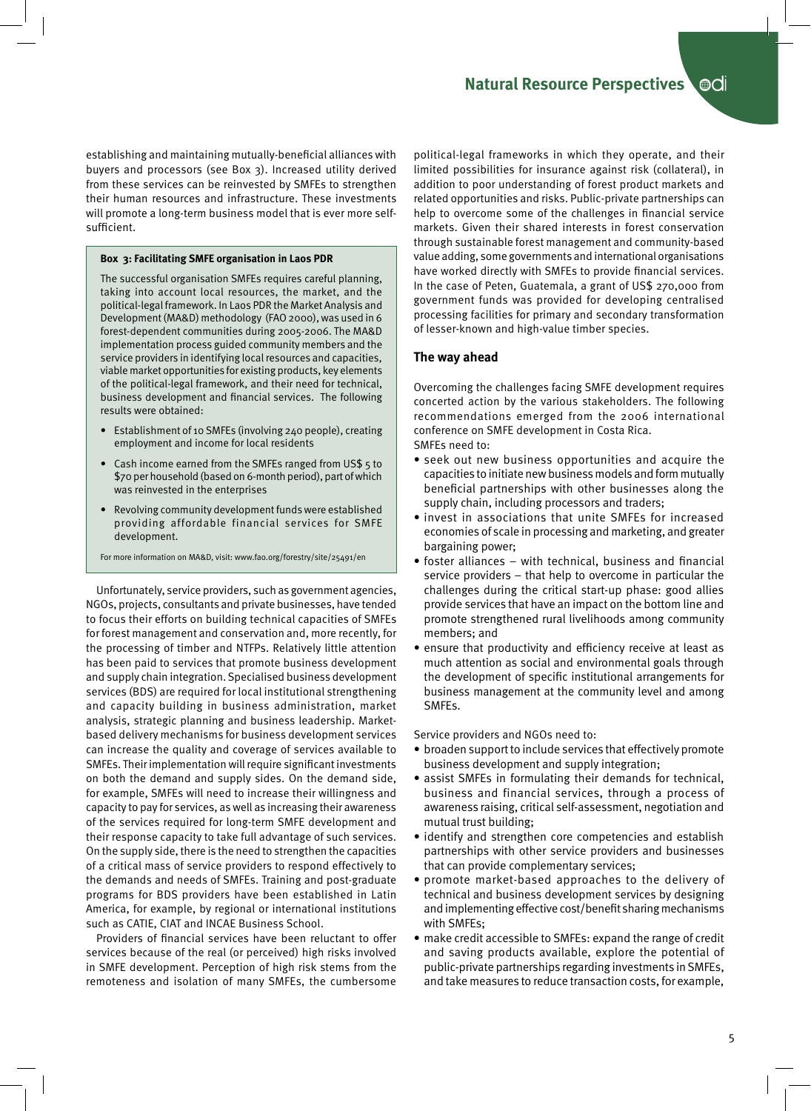establishing and maintaining mutually-beneficial alliances with buyers and processors (see Box 3). Increased utility derived from these services can be reinvested by SMFEs to strengthen their human resources and infrastructure. These investments will promote a long-term business model that is ever more selfsufficient.

#### **Box 3: Facilitating SMFE organisation in Laos PDR**

The successful organisation SMFEs requires careful planning, taking into account local resources, the market, and the political-legal framework. In Laos PDR the Market Analysis and Development (MA&D) methodology (FAO 2000), was used in 6 forest-dependent communities during 2005-2006. The MA&D implementation process guided community members and the service providers in identifying local resources and capacities, viable market opportunities for existing products, key elements of the political-legal framework, and their need for technical, business development and financial services. The following results were obtained:

- Establishment of 10 SMFEs (involving 240 people), creating employment and income for local residents
- Cash income earned from the SMFEs ranged from US\$ 5 to \$70 per household (based on 6-month period), part of which was reinvested in the enterprises
- Revolving community development funds were established providing affordable financial services for SMFE development.
- For more information on MA&D, visit: www.fao.org/forestry/site/25491/en

Unfortunately, service providers, such as government agencies, NGOs, projects, consultants and private businesses, have tended to focus their efforts on building technical capacities of SMFEs for forest management and conservation and, more recently, for the processing of timber and NTFPs. Relatively little attention has been paid to services that promote business development and supply chain integration. Specialised business development services (BDS) are required for local institutional strengthening and capacity building in business administration, market analysis, strategic planning and business leadership. Marketbased delivery mechanisms for business development services can increase the quality and coverage of services available to SMFEs. Their implementation will require significant investments on both the demand and supply sides. On the demand side, for example, SMFEs will need to increase their willingness and capacity to pay for services, as well as increasing their awareness of the services required for long-term SMFE development and their response capacity to take full advantage of such services. On the supply side, there is the need to strengthen the capacities of a critical mass of service providers to respond effectively to the demands and needs of SMFEs. Training and post-graduate programs for BDS providers have been established in Latin America, for example, by regional or international institutions such as CATIE, CIAT and INCAE Business School.

Providers of financial services have been reluctant to offer services because of the real (or perceived) high risks involved in SMFE development. Perception of high risk stems from the remoteness and isolation of many SMFEs, the cumbersome

political-legal frameworks in which they operate, and their limited possibilities for insurance against risk (collateral), in addition to poor understanding of forest product markets and related opportunities and risks. Public-private partnerships can help to overcome some of the challenges in financial service markets. Given their shared interests in forest conservation through sustainable forest management and community-based value adding, some governments and international organisations have worked directly with SMFEs to provide financial services. In the case of Peten, Guatemala, a grant of US\$ 270,000 from government funds was provided for developing centralised processing facilities for primary and secondary transformation of lesser-known and high-value timber species.

#### **The way ahead**

Overcoming the challenges facing SMFE development requires concerted action by the various stakeholders. The following recommendations emerged from the 2006 international conference on SMFE development in Costa Rica.

SMFEs need to:

- seek out new business opportunities and acquire the capacities to initiate new business models and form mutually beneficial partnerships with other businesses along the supply chain, including processors and traders;
- invest in associations that unite SMFEs for increased economies of scale in processing and marketing, and greater bargaining power;
- foster alliances with technical, business and financial service providers – that help to overcome in particular the challenges during the critical start-up phase: good allies provide services that have an impact on the bottom line and promote strengthened rural livelihoods among community members; and
- ensure that productivity and efficiency receive at least as much attention as social and environmental goals through the development of specific institutional arrangements for business management at the community level and among SMFEs.

Service providers and NGOs need to:

- broaden support to include services that effectively promote business development and supply integration;
- assist SMFEs in formulating their demands for technical, business and financial services, through a process of awareness raising, critical self-assessment, negotiation and mutual trust building;
- identify and strengthen core competencies and establish partnerships with other service providers and businesses that can provide complementary services;
- promote market-based approaches to the delivery of technical and business development services by designing and implementing effective cost/benefit sharing mechanisms with SMFEs;
- make credit accessible to SMFEs: expand the range of credit and saving products available, explore the potential of public-private partnerships regarding investments in SMFEs, and take measures to reduce transaction costs, for example,